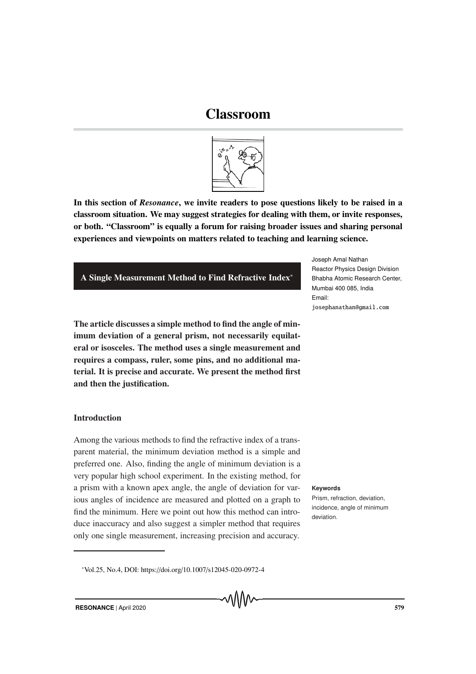# Classroom



In this section of *Resonance*, we invite readers to pose questions likely to be raised in a classroom situation. We may suggest strategies for dealing with them, or invite responses, or both. "Classroom" is equally a forum for raising broader issues and sharing personal experiences and viewpoints on matters related to teaching and learning science.

# A Single Measurement Method to Find Refractive Index∗

The article discusses a simple method to find the angle of minimum deviation of a general prism, not necessarily equilateral or isosceles. The method uses a single measurement and requires a compass, ruler, some pins, and no additional material. It is precise and accurate. We present the method first and then the justification.

# **Introduction**

Among the various methods to find the refractive index of a transparent material, the minimum deviation method is a simple and preferred one. Also, finding the angle of minimum deviation is a very popular high school experiment. In the existing method, for a prism with a known apex angle, the angle of deviation for var- **Keywords** ious angles of incidence are measured and plotted on a graph to find the minimum. Here we point out how this method can introduce inaccuracy and also suggest a simpler method that requires only one single measurement, increasing precision and accuracy.

Joseph Amal Nathan Reactor Physics Design Division Bhabha Atomic Research Center, Mumbai 400 085, India Email: josephanathan@gmail.com

Prism, refraction, deviation, incidence, angle of minimum deviation.

<sup>∗</sup>Vol.25, No.4, DOI: https://doi.org/10.1007/s12045-020-0972-4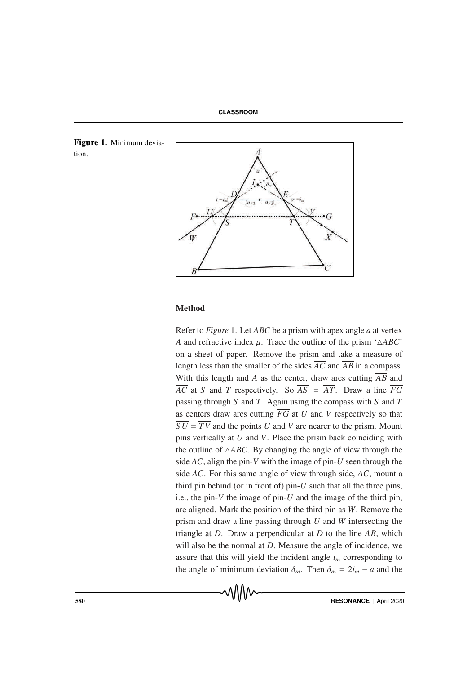





# Method

Refer to *Figure* 1. Let *ABC* be a prism with apex angle *a* at vertex *A* and refractive index  $\mu$ . Trace the outline of the prism ' $\triangle ABC$ ' on a sheet of paper. Remove the prism and take a measure of length less than the smaller of the sides  $\overline{AC}$  and  $\overline{AB}$  in a compass. With this length and *A* as the center, draw arcs cutting *AB* and  $\overline{AC}$  at *S* and *T* respectively. So  $\overline{AS} = \overline{AT}$ . Draw a line  $\overline{FG}$ passing through *S* and *T*. Again using the compass with *S* and *T* as centers draw arcs cutting *FG* at *U* and *V* respectively so that  $\overline{SU}$  =  $\overline{TV}$  and the points *U* and *V* are nearer to the prism. Mount pins vertically at *U* and *V*. Place the prism back coinciding with the outline of  $\triangle ABC$ . By changing the angle of view through the side *AC*, align the pin-*V* with the image of pin-*U* seen through the side *AC*. For this same angle of view through side, *AC*, mount a third pin behind (or in front of) pin-*U* such that all the three pins, i.e., the pin- $V$  the image of pin- $U$  and the image of the third pin, are aligned. Mark the position of the third pin as *W*. Remove the prism and draw a line passing through *U* and *W* intersecting the triangle at *D*. Draw a perpendicular at *D* to the line *AB*, which will also be the normal at *D*. Measure the angle of incidence, we assure that this will yield the incident angle  $i<sub>m</sub>$  corresponding to the angle of minimum deviation  $\delta_m$ . Then  $\delta_m = 2i_m - a$  and the

MMM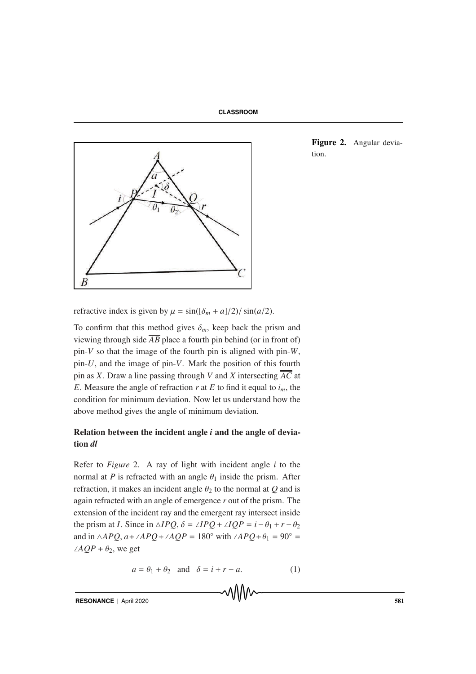



Figure 2. Angular deviation.

refractive index is given by  $\mu = \sin((\delta_m + a)/2)/\sin(a/2)$ .

To confirm that this method gives  $\delta_m$ , keep back the prism and viewing through side  $\overline{AB}$  place a fourth pin behind (or in front of) pin-*V* so that the image of the fourth pin is aligned with pin-*W*, pin-*U*, and the image of pin-*V*. Mark the position of this fourth pin as *X*. Draw a line passing through *V* and *X* intersecting  $\overline{AC}$  at *E*. Measure the angle of refraction  $r$  at  $E$  to find it equal to  $i_m$ , the condition for minimum deviation. Now let us understand how the above method gives the angle of minimum deviation.

# Relation between the incident angle *i* and the angle of deviation *dl*

Refer to *Figure* 2. A ray of light with incident angle *i* to the normal at *P* is refracted with an angle  $\theta_1$  inside the prism. After refraction, it makes an incident angle  $\theta_2$  to the normal at *Q* and is again refracted with an angle of emergence *r* out of the prism. The extension of the incident ray and the emergent ray intersect inside the prism at *I*. Since in  $\triangle IPQ$ ,  $\delta = \angle IPQ + \angle IQP = i - \theta_1 + r - \theta_2$ and in  $\triangle APQ$ ,  $a + \angle APQ + \angle AQP = 180^\circ$  with  $\angle APQ + \theta_1 = 90^\circ$  $\angle AQP + \theta_2$ , we get

$$
a = \theta_1 + \theta_2 \quad \text{and} \quad \delta = i + r - a. \tag{1}
$$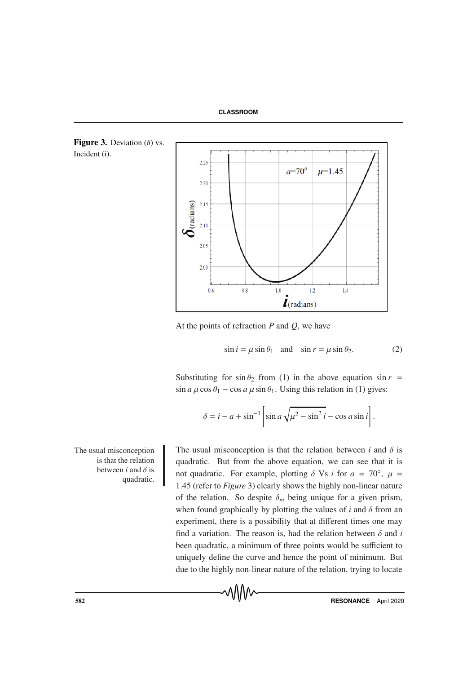



At the points of refraction *P* and *Q*, we have

$$
\sin i = \mu \sin \theta_1 \quad \text{and} \quad \sin r = \mu \sin \theta_2. \tag{2}
$$

Substituting for  $\sin \theta_2$  from (1) in the above equation  $\sin r =$  $\sin a \mu \cos \theta_1 - \cos a \mu \sin \theta_1$ . Using this relation in (1) gives:

$$
\delta = i - a + \sin^{-1} \left[ \sin a \sqrt{\mu^2 - \sin^2 i} - \cos a \sin i \right].
$$

The usual misconception is that the relation between *i* and  $\delta$  is quadratic.

Incident (i).

The usual misconception is that the relation between  $i$  and  $\delta$  is quadratic. But from the above equation, we can see that it is not quadratic. For example, plotting  $\delta$  Vs *i* for  $a = 70^\circ$ ,  $\mu =$ 1.45 (refer to *Figure* 3) clearly shows the highly non-linear nature of the relation. So despite  $\delta_m$  being unique for a given prism, when found graphically by plotting the values of  $i$  and  $\delta$  from an experiment, there is a possibility that at different times one may find a variation. The reason is, had the relation between  $\delta$  and  $i$ been quadratic, a minimum of three points would be sufficient to uniquely define the curve and hence the point of minimum. But due to the highly non-linear nature of the relation, trying to locate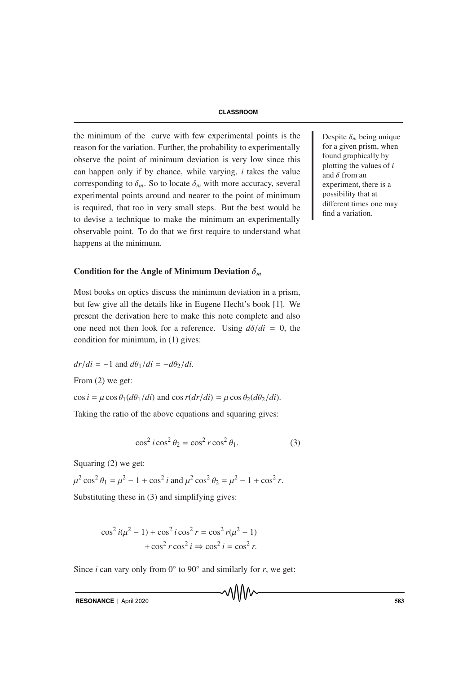### **CLASSROOM**

the minimum of the curve with few experimental points is the Despite  $\delta_m$  being unique reason for the variation. Further, the probability to experimentally observe the point of minimum deviation is very low since this can happen only if by chance, while varying, *i* takes the value corresponding to  $\delta_m$ . So to locate  $\delta_m$  with more accuracy, several experimental points around and nearer to the point of minimum is required, that too in very small steps. But the best would be to devise a technique to make the minimum an experimentally observable point. To do that we first require to understand what happens at the minimum.

#### Condition for the Angle of Minimum Deviation δ*<sup>m</sup>*

Most books on optics discuss the minimum deviation in a prism, but few give all the details like in Eugene Hecht's book [1]. We present the derivation here to make this note complete and also one need not then look for a reference. Using  $d\delta/di = 0$ , the condition for minimum, in (1) gives:

$$
dr/di = -1
$$
 and  $d\theta_1/di = -d\theta_2/di$ .

From (2) we get:

 $\cos i = \mu \cos \theta_1 (d\theta_1/di)$  and  $\cos r (dr/di) = \mu \cos \theta_2 (d\theta_2/di)$ .

Taking the ratio of the above equations and squaring gives:

$$
\cos^2 i \cos^2 \theta_2 = \cos^2 r \cos^2 \theta_1. \tag{3}
$$

Squaring (2) we get:

 $\mu^2 \cos^2 \theta_1 = \mu^2 - 1 + \cos^2 i$  and  $\mu^2 \cos^2 \theta_2 = \mu^2 - 1 + \cos^2 r$ . Substituting these in (3) and simplifying gives:

$$
\cos^2 i(\mu^2 - 1) + \cos^2 i \cos^2 r = \cos^2 r(\mu^2 - 1)
$$

$$
+ \cos^2 r \cos^2 i \Rightarrow \cos^2 i = \cos^2 r.
$$

Since *i* can vary only from  $0°$  to  $90°$  and similarly for *r*, we get:

RESONANCE | April 2020 583

for a given prism, when found graphically by plotting the values of *i* and  $\delta$  from an experiment, there is a possibility that at different times one may find a variation.